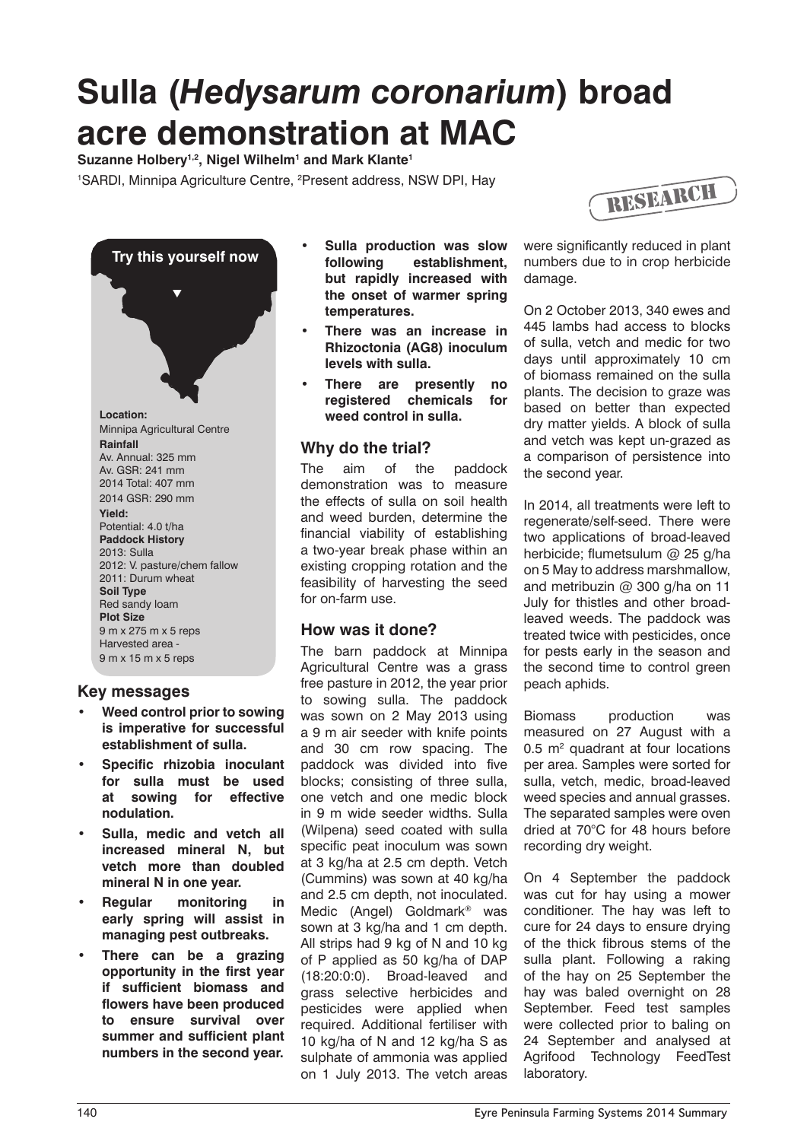# **Sulla (***Hedysarum coronarium***) broad acre demonstration at MAC**

**Suzanne Holbery1,2, Nigel Wilhelm1 and Mark Klante1**

<sup>1</sup>SARDI, Minnipa Agriculture Centre, <sup>2</sup>Present address, NSW DPI, Hay





#### **Key messages**

- **Weed control prior to sowing is imperative for successful establishment of sulla.**
- **Specific rhizobia inoculant for sulla must be used at sowing for effective nodulation.**
- **Sulla, medic and vetch all increased mineral N, but vetch more than doubled mineral N in one year.**
- **Regular monitoring in early spring will assist in managing pest outbreaks.**
- **There can be a grazing opportunity in the first year if sufficient biomass and flowers have been produced to ensure survival over summer and sufficient plant numbers in the second year.**
- **Sulla production was slow following establishment, but rapidly increased with the onset of warmer spring temperatures.**
- **There was an increase in Rhizoctonia (AG8) inoculum levels with sulla.**
- **Figure are presently no registered chemicals for weed control in sulla.**

#### **Why do the trial?**

The aim of the paddock demonstration was to measure the effects of sulla on soil health and weed burden, determine the financial viability of establishing a two-year break phase within an existing cropping rotation and the feasibility of harvesting the seed for on-farm use.

## **How was it done?**

The barn paddock at Minnipa Agricultural Centre was a grass free pasture in 2012, the year prior to sowing sulla. The paddock was sown on 2 May 2013 using a 9 m air seeder with knife points and 30 cm row spacing. The paddock was divided into five blocks; consisting of three sulla, one vetch and one medic block in 9 m wide seeder widths. Sulla (Wilpena) seed coated with sulla specific peat inoculum was sown at 3 kg/ha at 2.5 cm depth. Vetch (Cummins) was sown at 40 kg/ha and 2.5 cm depth, not inoculated. Medic (Angel) Goldmark® was sown at 3 kg/ha and 1 cm depth. All strips had 9 kg of N and 10 kg of P applied as 50 kg/ha of DAP (18:20:0:0). Broad-leaved and grass selective herbicides and pesticides were applied when required. Additional fertiliser with 10 kg/ha of N and 12 kg/ha S as sulphate of ammonia was applied on 1 July 2013. The vetch areas

were significantly reduced in plant numbers due to in crop herbicide damage.

On 2 October 2013, 340 ewes and 445 lambs had access to blocks of sulla, vetch and medic for two days until approximately 10 cm of biomass remained on the sulla plants. The decision to graze was based on better than expected dry matter yields. A block of sulla and vetch was kept un-grazed as a comparison of persistence into the second year.

In 2014, all treatments were left to regenerate/self-seed. There were two applications of broad-leaved herbicide; flumetsulum @ 25 g/ha on 5 May to address marshmallow, and metribuzin @ 300 g/ha on 11 July for thistles and other broadleaved weeds. The paddock was treated twice with pesticides, once for pests early in the season and the second time to control green peach aphids.

Biomass production was measured on 27 August with a  $0.5$  m<sup>2</sup> quadrant at four locations per area. Samples were sorted for sulla, vetch, medic, broad-leaved weed species and annual grasses. The separated samples were oven dried at 70°C for 48 hours before recording dry weight.

On 4 September the paddock was cut for hay using a mower conditioner. The hay was left to cure for 24 days to ensure drying of the thick fibrous stems of the sulla plant. Following a raking of the hay on 25 September the hay was baled overnight on 28 September. Feed test samples were collected prior to baling on 24 September and analysed at Agrifood Technology FeedTest laboratory.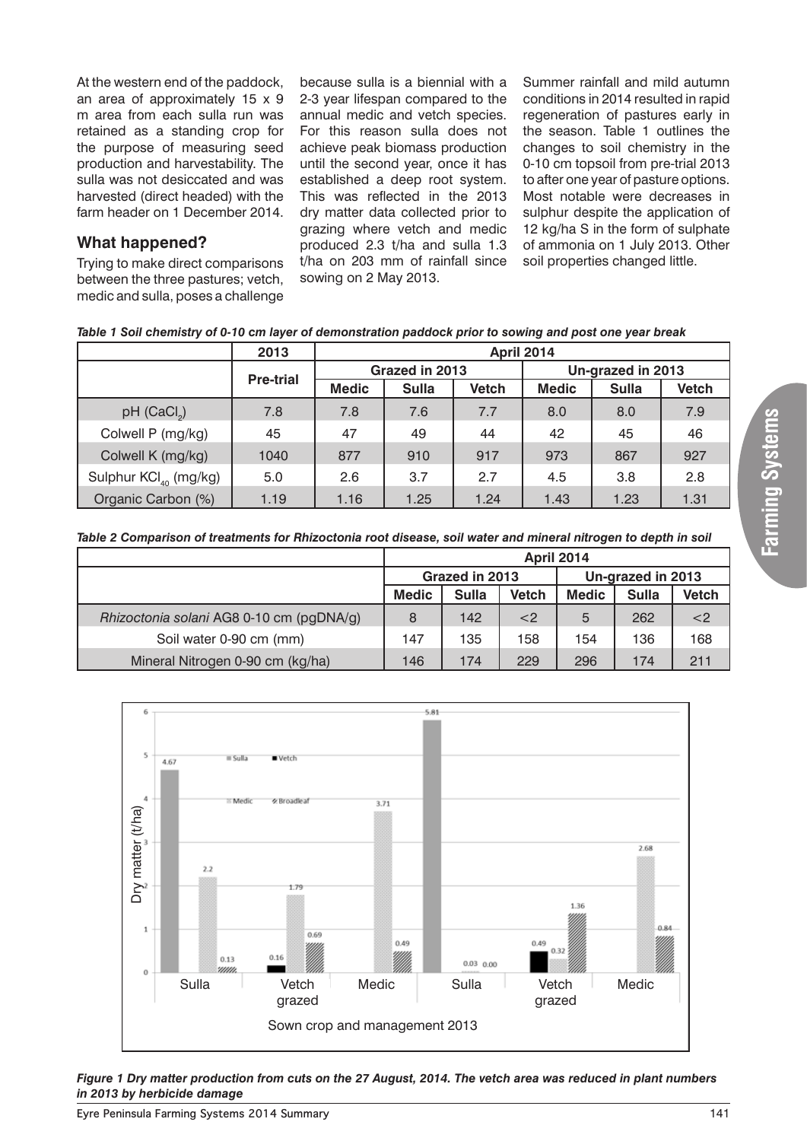At the western end of the paddock, an area of approximately 15 x 9 m area from each sulla run was retained as a standing crop for the purpose of measuring seed production and harvestability. The sulla was not desiccated and was harvested (direct headed) with the farm header on 1 December 2014.

## **What happened?**

Trying to make direct comparisons between the three pastures; vetch, medic and sulla, poses a challenge because sulla is a biennial with a 2-3 year lifespan compared to the annual medic and vetch species. For this reason sulla does not achieve peak biomass production until the second year, once it has established a deep root system. This was reflected in the 2013 dry matter data collected prior to grazing where vetch and medic produced 2.3 t/ha and sulla 1.3 t/ha on 203 mm of rainfall since sowing on 2 May 2013.

Summer rainfall and mild autumn conditions in 2014 resulted in rapid regeneration of pastures early in the season. Table 1 outlines the changes to soil chemistry in the 0-10 cm topsoil from pre-trial 2013 to after one year of pasture options. Most notable were decreases in sulphur despite the application of 12 kg/ha S in the form of sulphate of ammonia on 1 July 2013. Other soil properties changed little.

|  | Table 1 Soil chemistry of 0-10 cm layer of demonstration paddock prior to sowing and post one year break |  |  |  |  |  |  |  |  |  |
|--|----------------------------------------------------------------------------------------------------------|--|--|--|--|--|--|--|--|--|
|--|----------------------------------------------------------------------------------------------------------|--|--|--|--|--|--|--|--|--|

|                                   | 2013             | <b>April 2014</b> |                |              |                   |              |              |  |  |  |
|-----------------------------------|------------------|-------------------|----------------|--------------|-------------------|--------------|--------------|--|--|--|
|                                   | <b>Pre-trial</b> |                   | Grazed in 2013 |              | Un-grazed in 2013 |              |              |  |  |  |
|                                   |                  | <b>Medic</b>      | <b>Sulla</b>   | <b>Vetch</b> | <b>Medic</b>      | <b>Sulla</b> | <b>Vetch</b> |  |  |  |
| $pH$ (CaCl <sub>2</sub> )         | 7.8              | 7.8               | 7.6            | 7.7          | 8.0               | 8.0          | 7.9          |  |  |  |
| Colwell P (mg/kg)                 | 45               | 47                | 49             | 44           | 42                | 45           | 46           |  |  |  |
| Colwell K (mg/kg)                 | 1040             | 877               | 910            | 917          | 973               | 867          | 927          |  |  |  |
| Sulphur KCl <sub>40</sub> (mg/kg) | 5.0              | 2.6               | 3.7            | 2.7          | 4.5               | 3.8          | 2.8          |  |  |  |
| Organic Carbon (%)                | 1.19             | 1.16              | 1.25           | 1.24         | 1.43              | 1.23         | 1.31         |  |  |  |

*Table 2 Comparison of treatments for Rhizoctonia root disease, soil water and mineral nitrogen to depth in soil*

|                                          | <b>April 2014</b> |              |              |                   |              |              |  |
|------------------------------------------|-------------------|--------------|--------------|-------------------|--------------|--------------|--|
|                                          | Grazed in 2013    |              |              | Un-grazed in 2013 |              |              |  |
|                                          | <b>Medic</b>      | <b>Sulla</b> | <b>Vetch</b> | <b>Medic</b>      | <b>Sulla</b> | <b>Vetch</b> |  |
| Rhizoctonia solani AG8 0-10 cm (pgDNA/g) | 8                 | 142          | $<$ 2        | 5                 | 262          | $<$ 2        |  |
| Soil water 0-90 cm (mm)                  | 147               | 135          | 158          | 154               | 136          | 168          |  |
| Mineral Nitrogen 0-90 cm (kg/ha)         | 146               | 174          | 229          | 296               | 174          | 211          |  |



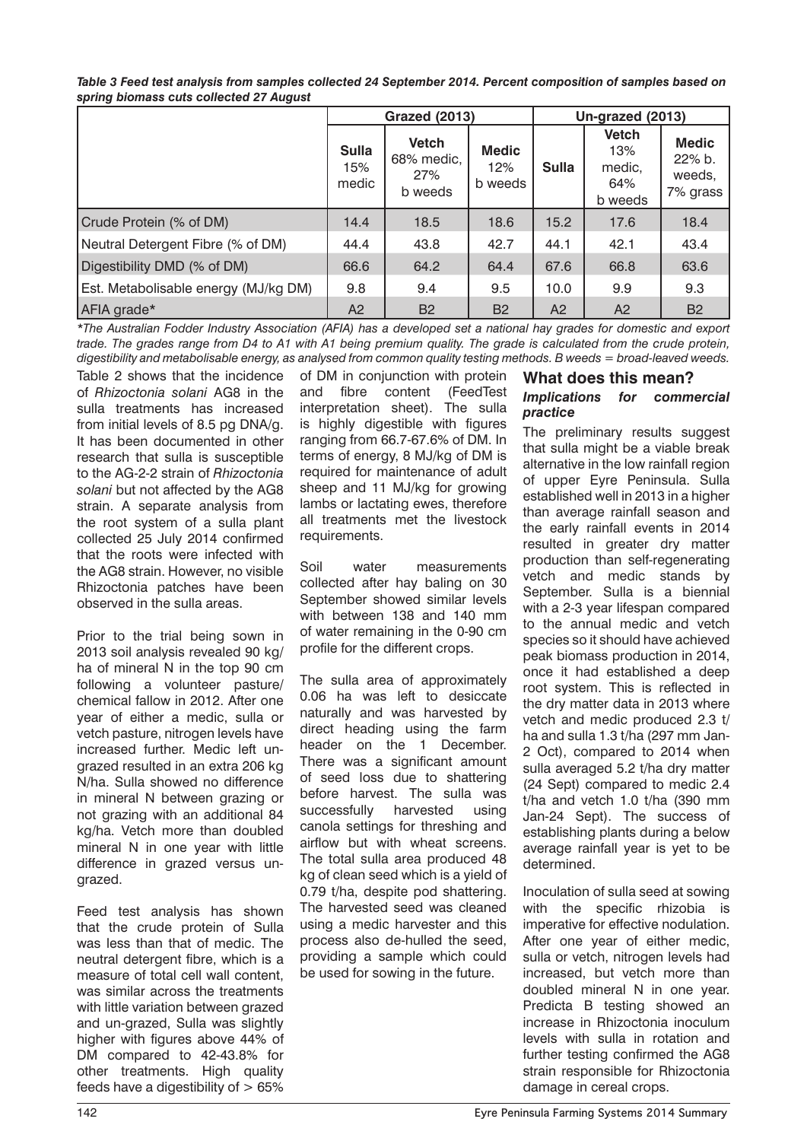|                                      |                              | <b>Grazed (2013)</b>                         |                                | Un-grazed (2013) |                                                 |                                              |  |
|--------------------------------------|------------------------------|----------------------------------------------|--------------------------------|------------------|-------------------------------------------------|----------------------------------------------|--|
|                                      | <b>Sulla</b><br>15%<br>medic | <b>Vetch</b><br>68% medic,<br>27%<br>b weeds | <b>Medic</b><br>12%<br>b weeds | <b>Sulla</b>     | <b>Vetch</b><br>13%<br>medic.<br>64%<br>b weeds | <b>Medic</b><br>22% b.<br>weeds,<br>7% grass |  |
| Crude Protein (% of DM)              | 14.4                         | 18.5                                         | 18.6                           | 15.2             | 17.6                                            | 18.4                                         |  |
| Neutral Detergent Fibre (% of DM)    | 44.4                         | 43.8                                         | 42.7                           | 44.1             | 42.1                                            | 43.4                                         |  |
| Digestibility DMD (% of DM)          | 66.6                         | 64.2                                         | 64.4                           | 67.6             | 66.8                                            | 63.6                                         |  |
| Est. Metabolisable energy (MJ/kg DM) | 9.8                          | 9.4                                          | 9.5                            | 10.0             | 9.9                                             | 9.3                                          |  |
| AFIA grade*                          | A2                           | <b>B2</b>                                    | <b>B2</b>                      | A2               | A2                                              | <b>B2</b>                                    |  |

*Table 3 Feed test analysis from samples collected 24 September 2014. Percent composition of samples based on spring biomass cuts collected 27 August*

*\*The Australian Fodder Industry Association (AFIA) has a developed set a national hay grades for domestic and export trade. The grades range from D4 to A1 with A1 being premium quality. The grade is calculated from the crude protein, digestibility and metabolisable energy, as analysed from common quality testing methods. B weeds = broad-leaved weeds.*

Table 2 shows that the incidence of *Rhizoctonia solani* AG8 in the sulla treatments has increased from initial levels of 8.5 pg DNA/g. It has been documented in other research that sulla is susceptible to the AG-2-2 strain of *Rhizoctonia solani* but not affected by the AG8 strain. A separate analysis from the root system of a sulla plant collected 25 July 2014 confirmed that the roots were infected with the AG8 strain. However, no visible Rhizoctonia patches have been observed in the sulla areas.

Prior to the trial being sown in 2013 soil analysis revealed 90 kg/ ha of mineral N in the top 90 cm following a volunteer pasture/ chemical fallow in 2012. After one year of either a medic, sulla or vetch pasture, nitrogen levels have increased further. Medic left ungrazed resulted in an extra 206 kg N/ha. Sulla showed no difference in mineral N between grazing or not grazing with an additional 84 kg/ha. Vetch more than doubled mineral N in one year with little difference in grazed versus ungrazed.

Feed test analysis has shown that the crude protein of Sulla was less than that of medic. The neutral detergent fibre, which is a measure of total cell wall content, was similar across the treatments with little variation between grazed and un-grazed, Sulla was slightly higher with figures above 44% of DM compared to 42-43.8% for other treatments. High quality feeds have a digestibility of > 65% of DM in conjunction with protein and fibre content (FeedTest interpretation sheet). The sulla is highly digestible with figures ranging from 66.7-67.6% of DM. In terms of energy, 8 MJ/kg of DM is required for maintenance of adult sheep and 11 MJ/kg for growing lambs or lactating ewes, therefore all treatments met the livestock requirements.

Soil water measurements collected after hay baling on 30 September showed similar levels with between 138 and 140 mm of water remaining in the 0-90 cm profile for the different crops.

The sulla area of approximately 0.06 ha was left to desiccate naturally and was harvested by direct heading using the farm header on the 1 December. There was a significant amount of seed loss due to shattering before harvest. The sulla was successfully harvested using canola settings for threshing and airflow but with wheat screens. The total sulla area produced 48 kg of clean seed which is a yield of 0.79 t/ha, despite pod shattering. The harvested seed was cleaned using a medic harvester and this process also de-hulled the seed, providing a sample which could be used for sowing in the future.

# **What does this mean?**

#### *Implications for commercial practice*

The preliminary results suggest that sulla might be a viable break alternative in the low rainfall region of upper Eyre Peninsula. Sulla established well in 2013 in a higher than average rainfall season and the early rainfall events in 2014 resulted in greater dry matter production than self-regenerating vetch and medic stands by September. Sulla is a biennial with a 2-3 year lifespan compared to the annual medic and vetch species so it should have achieved peak biomass production in 2014, once it had established a deep root system. This is reflected in the dry matter data in 2013 where vetch and medic produced 2.3 t/ ha and sulla 1.3 t/ha (297 mm Jan-2 Oct), compared to 2014 when sulla averaged 5.2 t/ha dry matter (24 Sept) compared to medic 2.4 t/ha and vetch 1.0 t/ha (390 mm Jan-24 Sept). The success of establishing plants during a below average rainfall year is yet to be determined.

Inoculation of sulla seed at sowing with the specific rhizobia is imperative for effective nodulation. After one year of either medic, sulla or vetch, nitrogen levels had increased, but vetch more than doubled mineral N in one year. Predicta B testing showed an increase in Rhizoctonia inoculum levels with sulla in rotation and further testing confirmed the AG8 strain responsible for Rhizoctonia damage in cereal crops.